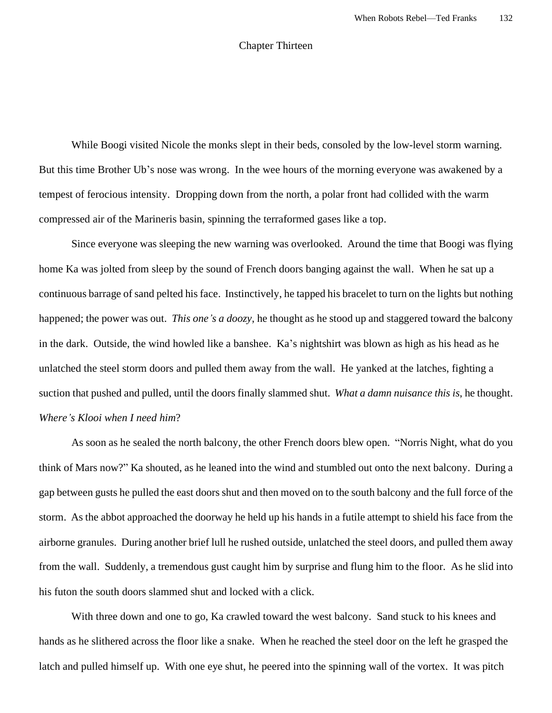## Chapter Thirteen

While Boogi visited Nicole the monks slept in their beds, consoled by the low-level storm warning. But this time Brother Ub's nose was wrong. In the wee hours of the morning everyone was awakened by a tempest of ferocious intensity. Dropping down from the north, a polar front had collided with the warm compressed air of the Marineris basin, spinning the terraformed gases like a top.

Since everyone was sleeping the new warning was overlooked. Around the time that Boogi was flying home Ka was jolted from sleep by the sound of French doors banging against the wall. When he sat up a continuous barrage of sand pelted his face. Instinctively, he tapped his bracelet to turn on the lights but nothing happened; the power was out. *This one's a doozy*, he thought as he stood up and staggered toward the balcony in the dark. Outside, the wind howled like a banshee. Ka's nightshirt was blown as high as his head as he unlatched the steel storm doors and pulled them away from the wall. He yanked at the latches, fighting a suction that pushed and pulled, until the doors finally slammed shut. *What a damn nuisance this is*, he thought. *Where's Klooi when I need him*?

As soon as he sealed the north balcony, the other French doors blew open. "Norris Night, what do you think of Mars now?" Ka shouted, as he leaned into the wind and stumbled out onto the next balcony. During a gap between gusts he pulled the east doors shut and then moved on to the south balcony and the full force of the storm. As the abbot approached the doorway he held up his hands in a futile attempt to shield his face from the airborne granules. During another brief lull he rushed outside, unlatched the steel doors, and pulled them away from the wall. Suddenly, a tremendous gust caught him by surprise and flung him to the floor. As he slid into his futon the south doors slammed shut and locked with a click.

With three down and one to go, Ka crawled toward the west balcony. Sand stuck to his knees and hands as he slithered across the floor like a snake. When he reached the steel door on the left he grasped the latch and pulled himself up. With one eye shut, he peered into the spinning wall of the vortex. It was pitch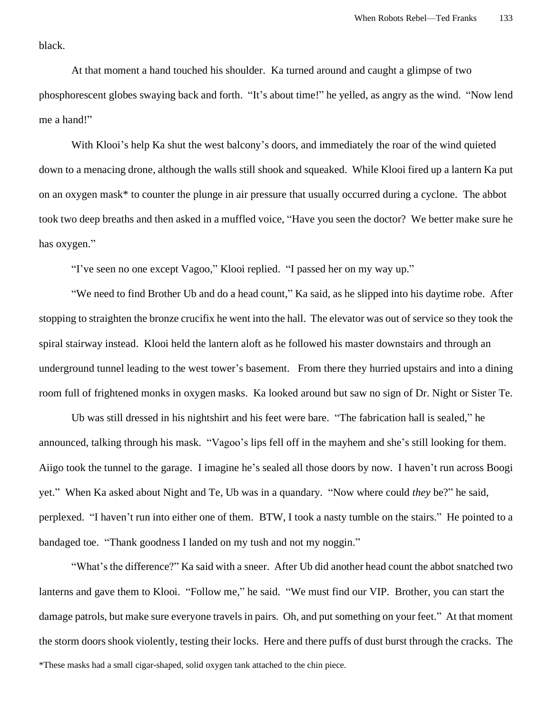black.

At that moment a hand touched his shoulder. Ka turned around and caught a glimpse of two phosphorescent globes swaying back and forth. "It's about time!" he yelled, as angry as the wind. "Now lend me a hand!"

With Klooi's help Ka shut the west balcony's doors, and immediately the roar of the wind quieted down to a menacing drone, although the walls still shook and squeaked. While Klooi fired up a lantern Ka put on an oxygen mask\* to counter the plunge in air pressure that usually occurred during a cyclone. The abbot took two deep breaths and then asked in a muffled voice, "Have you seen the doctor? We better make sure he has oxygen."

"I've seen no one except Vagoo," Klooi replied. "I passed her on my way up."

"We need to find Brother Ub and do a head count," Ka said, as he slipped into his daytime robe. After stopping to straighten the bronze crucifix he went into the hall. The elevator was out of service so they took the spiral stairway instead. Klooi held the lantern aloft as he followed his master downstairs and through an underground tunnel leading to the west tower's basement. From there they hurried upstairs and into a dining room full of frightened monks in oxygen masks. Ka looked around but saw no sign of Dr. Night or Sister Te.

Ub was still dressed in his nightshirt and his feet were bare. "The fabrication hall is sealed," he announced, talking through his mask. "Vagoo's lips fell off in the mayhem and she's still looking for them. Aiigo took the tunnel to the garage. I imagine he's sealed all those doors by now. I haven't run across Boogi yet." When Ka asked about Night and Te, Ub was in a quandary. "Now where could *they* be?" he said, perplexed. "I haven't run into either one of them. BTW, I took a nasty tumble on the stairs." He pointed to a bandaged toe. "Thank goodness I landed on my tush and not my noggin."

"What's the difference?" Ka said with a sneer. After Ub did another head count the abbot snatched two lanterns and gave them to Klooi. "Follow me," he said. "We must find our VIP. Brother, you can start the damage patrols, but make sure everyone travels in pairs. Oh, and put something on your feet." At that moment the storm doors shook violently, testing their locks. Here and there puffs of dust burst through the cracks. The \*These masks had a small cigar-shaped, solid oxygen tank attached to the chin piece.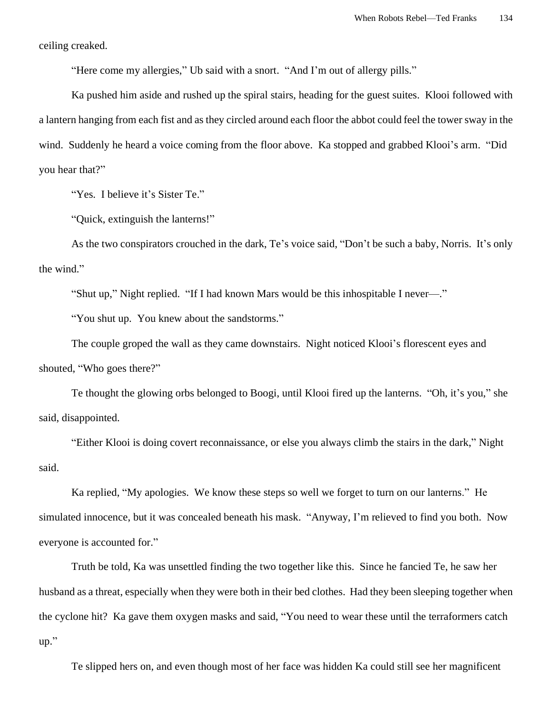ceiling creaked.

"Here come my allergies," Ub said with a snort. "And I'm out of allergy pills."

Ka pushed him aside and rushed up the spiral stairs, heading for the guest suites. Klooi followed with a lantern hanging from each fist and as they circled around each floor the abbot could feel the tower sway in the wind. Suddenly he heard a voice coming from the floor above. Ka stopped and grabbed Klooi's arm. "Did you hear that?"

"Yes. I believe it's Sister Te."

"Quick, extinguish the lanterns!"

As the two conspirators crouched in the dark, Te's voice said, "Don't be such a baby, Norris. It's only the wind."

"Shut up," Night replied. "If I had known Mars would be this inhospitable I never—."

"You shut up. You knew about the sandstorms."

The couple groped the wall as they came downstairs. Night noticed Klooi's florescent eyes and shouted, "Who goes there?"

Te thought the glowing orbs belonged to Boogi, until Klooi fired up the lanterns. "Oh, it's you," she said, disappointed.

"Either Klooi is doing covert reconnaissance, or else you always climb the stairs in the dark," Night said.

Ka replied, "My apologies. We know these steps so well we forget to turn on our lanterns." He simulated innocence, but it was concealed beneath his mask. "Anyway, I'm relieved to find you both. Now everyone is accounted for."

Truth be told, Ka was unsettled finding the two together like this. Since he fancied Te, he saw her husband as a threat, especially when they were both in their bed clothes. Had they been sleeping together when the cyclone hit? Ka gave them oxygen masks and said, "You need to wear these until the terraformers catch up."

Te slipped hers on, and even though most of her face was hidden Ka could still see her magnificent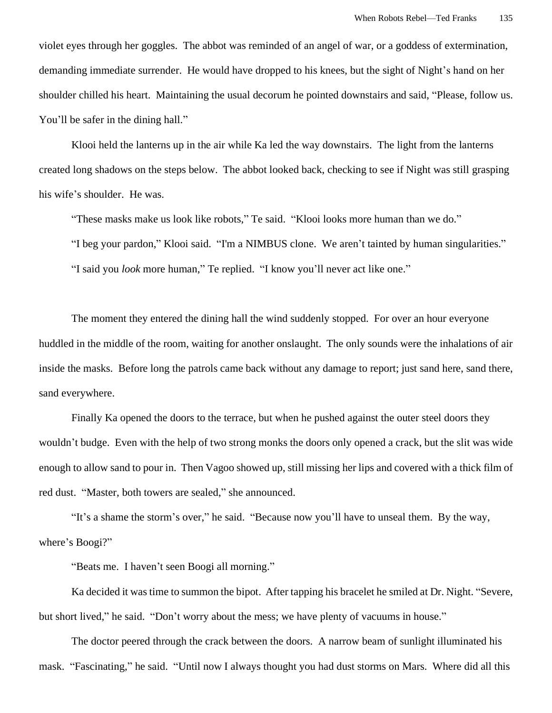violet eyes through her goggles. The abbot was reminded of an angel of war, or a goddess of extermination, demanding immediate surrender. He would have dropped to his knees, but the sight of Night's hand on her shoulder chilled his heart. Maintaining the usual decorum he pointed downstairs and said, "Please, follow us. You'll be safer in the dining hall."

Klooi held the lanterns up in the air while Ka led the way downstairs. The light from the lanterns created long shadows on the steps below. The abbot looked back, checking to see if Night was still grasping his wife's shoulder. He was.

"These masks make us look like robots," Te said. "Klooi looks more human than we do." "I beg your pardon," Klooi said. "I'm a NIMBUS clone. We aren't tainted by human singularities." "I said you *look* more human," Te replied. "I know you'll never act like one."

The moment they entered the dining hall the wind suddenly stopped. For over an hour everyone huddled in the middle of the room, waiting for another onslaught. The only sounds were the inhalations of air inside the masks. Before long the patrols came back without any damage to report; just sand here, sand there, sand everywhere.

Finally Ka opened the doors to the terrace, but when he pushed against the outer steel doors they wouldn't budge. Even with the help of two strong monks the doors only opened a crack, but the slit was wide enough to allow sand to pour in. Then Vagoo showed up, still missing her lips and covered with a thick film of red dust. "Master, both towers are sealed," she announced.

"It's a shame the storm's over," he said. "Because now you'll have to unseal them. By the way, where's Boogi?"

"Beats me. I haven't seen Boogi all morning."

Ka decided it was time to summon the bipot. After tapping his bracelet he smiled at Dr. Night. "Severe, but short lived," he said. "Don't worry about the mess; we have plenty of vacuums in house."

The doctor peered through the crack between the doors. A narrow beam of sunlight illuminated his mask. "Fascinating," he said. "Until now I always thought you had dust storms on Mars. Where did all this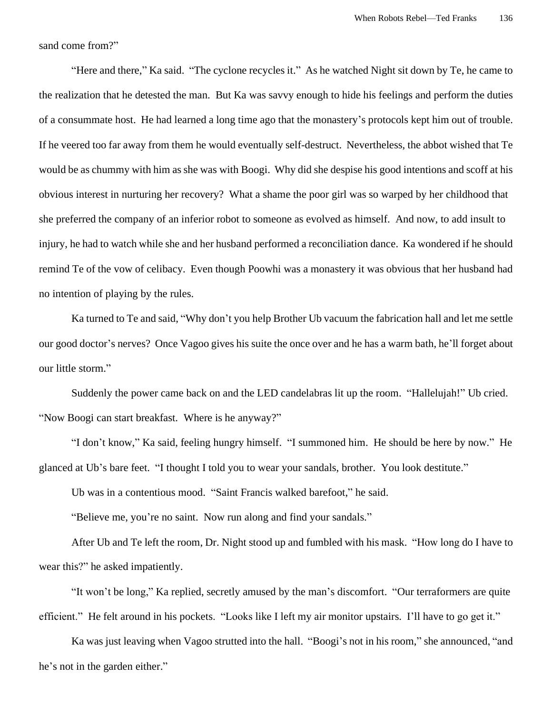sand come from?"

"Here and there," Ka said. "The cyclone recycles it." As he watched Night sit down by Te, he came to the realization that he detested the man. But Ka was savvy enough to hide his feelings and perform the duties of a consummate host. He had learned a long time ago that the monastery's protocols kept him out of trouble. If he veered too far away from them he would eventually self-destruct. Nevertheless, the abbot wished that Te would be as chummy with him as she was with Boogi. Why did she despise his good intentions and scoff at his obvious interest in nurturing her recovery? What a shame the poor girl was so warped by her childhood that she preferred the company of an inferior robot to someone as evolved as himself. And now, to add insult to injury, he had to watch while she and her husband performed a reconciliation dance. Ka wondered if he should remind Te of the vow of celibacy. Even though Poowhi was a monastery it was obvious that her husband had no intention of playing by the rules.

Ka turned to Te and said, "Why don't you help Brother Ub vacuum the fabrication hall and let me settle our good doctor's nerves? Once Vagoo gives his suite the once over and he has a warm bath, he'll forget about our little storm."

Suddenly the power came back on and the LED candelabras lit up the room. "Hallelujah!" Ub cried. "Now Boogi can start breakfast. Where is he anyway?"

"I don't know," Ka said, feeling hungry himself. "I summoned him. He should be here by now." He glanced at Ub's bare feet. "I thought I told you to wear your sandals, brother. You look destitute."

Ub was in a contentious mood. "Saint Francis walked barefoot," he said.

"Believe me, you're no saint. Now run along and find your sandals."

After Ub and Te left the room, Dr. Night stood up and fumbled with his mask. "How long do I have to wear this?" he asked impatiently.

"It won't be long," Ka replied, secretly amused by the man's discomfort. "Our terraformers are quite efficient." He felt around in his pockets. "Looks like I left my air monitor upstairs. I'll have to go get it."

Ka was just leaving when Vagoo strutted into the hall. "Boogi's not in his room," she announced, "and he's not in the garden either."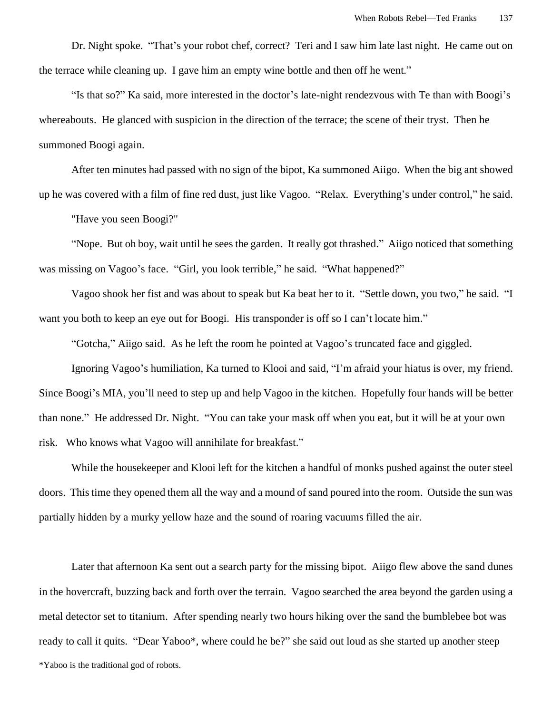Dr. Night spoke. "That's your robot chef, correct? Teri and I saw him late last night. He came out on the terrace while cleaning up. I gave him an empty wine bottle and then off he went."

"Is that so?" Ka said, more interested in the doctor's late-night rendezvous with Te than with Boogi's whereabouts. He glanced with suspicion in the direction of the terrace; the scene of their tryst. Then he summoned Boogi again.

After ten minutes had passed with no sign of the bipot, Ka summoned Aiigo. When the big ant showed up he was covered with a film of fine red dust, just like Vagoo. "Relax. Everything's under control," he said.

"Have you seen Boogi?"

"Nope. But oh boy, wait until he sees the garden. It really got thrashed." Aiigo noticed that something was missing on Vagoo's face. "Girl, you look terrible," he said. "What happened?"

Vagoo shook her fist and was about to speak but Ka beat her to it. "Settle down, you two," he said. "I want you both to keep an eye out for Boogi. His transponder is off so I can't locate him."

"Gotcha," Aiigo said. As he left the room he pointed at Vagoo's truncated face and giggled.

Ignoring Vagoo's humiliation, Ka turned to Klooi and said, "I'm afraid your hiatus is over, my friend. Since Boogi's MIA, you'll need to step up and help Vagoo in the kitchen. Hopefully four hands will be better than none." He addressed Dr. Night. "You can take your mask off when you eat, but it will be at your own risk. Who knows what Vagoo will annihilate for breakfast."

While the housekeeper and Klooi left for the kitchen a handful of monks pushed against the outer steel doors. This time they opened them all the way and a mound of sand poured into the room. Outside the sun was partially hidden by a murky yellow haze and the sound of roaring vacuums filled the air.

Later that afternoon Ka sent out a search party for the missing bipot. Aiigo flew above the sand dunes in the hovercraft, buzzing back and forth over the terrain. Vagoo searched the area beyond the garden using a metal detector set to titanium. After spending nearly two hours hiking over the sand the bumblebee bot was ready to call it quits. "Dear Yaboo\*, where could he be?" she said out loud as she started up another steep \*Yaboo is the traditional god of robots.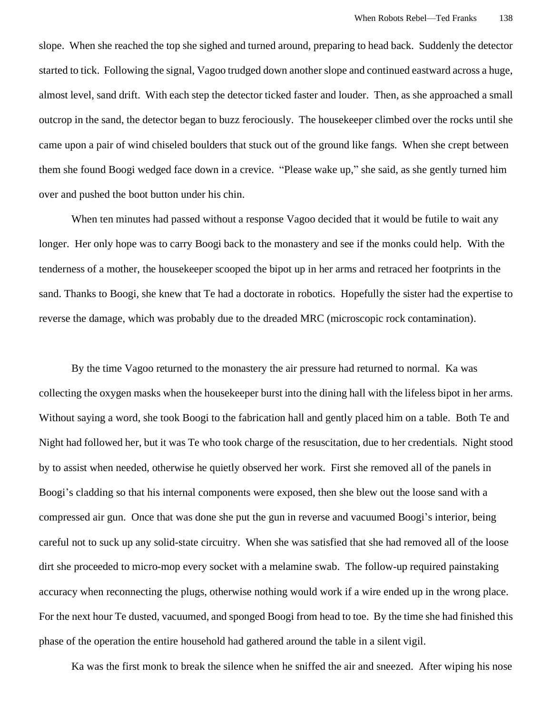slope. When she reached the top she sighed and turned around, preparing to head back. Suddenly the detector started to tick. Following the signal, Vagoo trudged down another slope and continued eastward across a huge, almost level, sand drift. With each step the detector ticked faster and louder. Then, as she approached a small outcrop in the sand, the detector began to buzz ferociously. The housekeeper climbed over the rocks until she came upon a pair of wind chiseled boulders that stuck out of the ground like fangs. When she crept between them she found Boogi wedged face down in a crevice. "Please wake up," she said, as she gently turned him over and pushed the boot button under his chin.

When ten minutes had passed without a response Vagoo decided that it would be futile to wait any longer. Her only hope was to carry Boogi back to the monastery and see if the monks could help. With the tenderness of a mother, the housekeeper scooped the bipot up in her arms and retraced her footprints in the sand. Thanks to Boogi, she knew that Te had a doctorate in robotics. Hopefully the sister had the expertise to reverse the damage, which was probably due to the dreaded MRC (microscopic rock contamination).

 By the time Vagoo returned to the monastery the air pressure had returned to normal. Ka was collecting the oxygen masks when the housekeeper burst into the dining hall with the lifeless bipot in her arms. Without saying a word, she took Boogi to the fabrication hall and gently placed him on a table. Both Te and Night had followed her, but it was Te who took charge of the resuscitation, due to her credentials. Night stood by to assist when needed, otherwise he quietly observed her work. First she removed all of the panels in Boogi's cladding so that his internal components were exposed, then she blew out the loose sand with a compressed air gun. Once that was done she put the gun in reverse and vacuumed Boogi's interior, being careful not to suck up any solid-state circuitry. When she was satisfied that she had removed all of the loose dirt she proceeded to micro-mop every socket with a melamine swab. The follow-up required painstaking accuracy when reconnecting the plugs, otherwise nothing would work if a wire ended up in the wrong place. For the next hour Te dusted, vacuumed, and sponged Boogi from head to toe. By the time she had finished this phase of the operation the entire household had gathered around the table in a silent vigil.

Ka was the first monk to break the silence when he sniffed the air and sneezed. After wiping his nose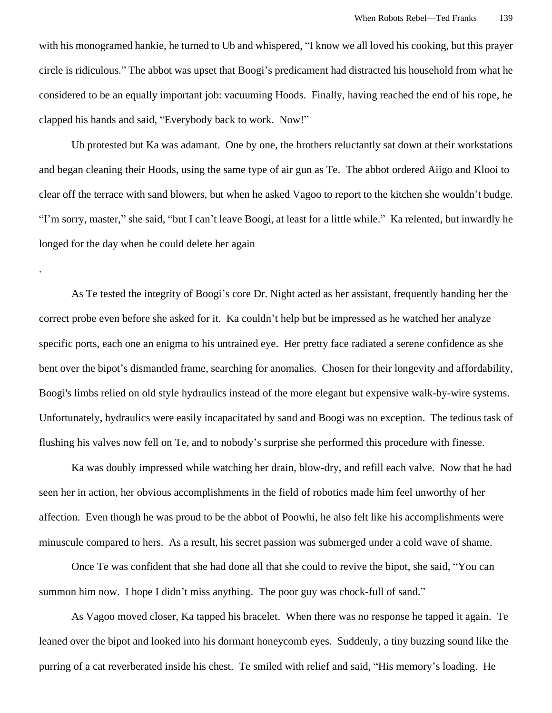with his monogramed hankie, he turned to Ub and whispered, "I know we all loved his cooking, but this prayer circle is ridiculous." The abbot was upset that Boogi's predicament had distracted his household from what he considered to be an equally important job: vacuuming Hoods. Finally, having reached the end of his rope, he clapped his hands and said, "Everybody back to work. Now!"

Ub protested but Ka was adamant. One by one, the brothers reluctantly sat down at their workstations and began cleaning their Hoods, using the same type of air gun as Te. The abbot ordered Aiigo and Klooi to clear off the terrace with sand blowers, but when he asked Vagoo to report to the kitchen she wouldn't budge. "I'm sorry, master," she said, "but I can't leave Boogi, at least for a little while." Ka relented, but inwardly he longed for the day when he could delete her again

.

As Te tested the integrity of Boogi's core Dr. Night acted as her assistant, frequently handing her the correct probe even before she asked for it. Ka couldn't help but be impressed as he watched her analyze specific ports, each one an enigma to his untrained eye. Her pretty face radiated a serene confidence as she bent over the bipot's dismantled frame, searching for anomalies. Chosen for their longevity and affordability, Boogi's limbs relied on old style hydraulics instead of the more elegant but expensive walk-by-wire systems. Unfortunately, hydraulics were easily incapacitated by sand and Boogi was no exception. The tedious task of flushing his valves now fell on Te, and to nobody's surprise she performed this procedure with finesse.

Ka was doubly impressed while watching her drain, blow-dry, and refill each valve. Now that he had seen her in action, her obvious accomplishments in the field of robotics made him feel unworthy of her affection. Even though he was proud to be the abbot of Poowhi, he also felt like his accomplishments were minuscule compared to hers. As a result, his secret passion was submerged under a cold wave of shame.

Once Te was confident that she had done all that she could to revive the bipot, she said, "You can summon him now. I hope I didn't miss anything. The poor guy was chock-full of sand."

As Vagoo moved closer, Ka tapped his bracelet. When there was no response he tapped it again. Te leaned over the bipot and looked into his dormant honeycomb eyes. Suddenly, a tiny buzzing sound like the purring of a cat reverberated inside his chest. Te smiled with relief and said, "His memory's loading. He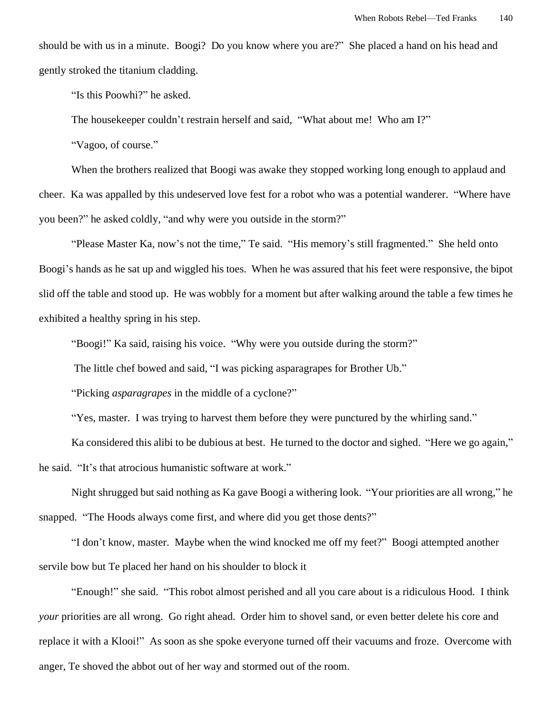should be with us in a minute. Boogi? Do you know where you are?" She placed a hand on his head and gently stroked the titanium cladding.

"Is this Poowhi?" he asked.

The housekeeper couldn't restrain herself and said, "What about me! Who am I?"

"Vagoo, of course."

When the brothers realized that Boogi was awake they stopped working long enough to applaud and cheer. Ka was appalled by this undeserved love fest for a robot who was a potential wanderer. "Where have you been?" he asked coldly, "and why were you outside in the storm?"

"Please Master Ka, now's not the time," Te said. "His memory's still fragmented." She held onto Boogi's hands as he sat up and wiggled his toes. When he was assured that his feet were responsive, the bipot slid off the table and stood up. He was wobbly for a moment but after walking around the table a few times he exhibited a healthy spring in his step.

"Boogi!" Ka said, raising his voice. "Why were you outside during the storm?"

The little chef bowed and said, "I was picking asparagrapes for Brother Ub."

"Picking *asparagrapes* in the middle of a cyclone?"

"Yes, master. I was trying to harvest them before they were punctured by the whirling sand."

Ka considered this alibi to be dubious at best. He turned to the doctor and sighed. "Here we go again," he said. "It's that atrocious humanistic software at work."

Night shrugged but said nothing as Ka gave Boogi a withering look. "Your priorities are all wrong," he snapped. "The Hoods always come first, and where did you get those dents?"

"I don't know, master. Maybe when the wind knocked me off my feet?" Boogi attempted another servile bow but Te placed her hand on his shoulder to block it

"Enough!" she said. "This robot almost perished and all you care about is a ridiculous Hood. I think *your* priorities are all wrong. Go right ahead. Order him to shovel sand, or even better delete his core and replace it with a Klooi!" As soon as she spoke everyone turned off their vacuums and froze. Overcome with anger, Te shoved the abbot out of her way and stormed out of the room.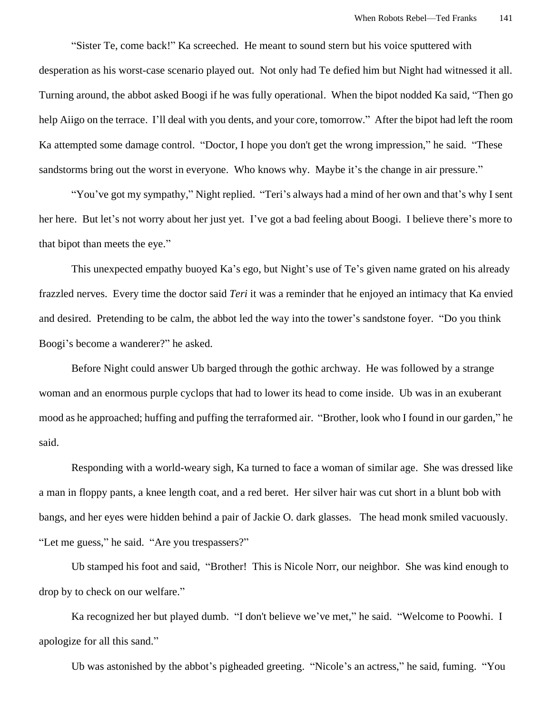"Sister Te, come back!" Ka screeched. He meant to sound stern but his voice sputtered with desperation as his worst-case scenario played out. Not only had Te defied him but Night had witnessed it all. Turning around, the abbot asked Boogi if he was fully operational. When the bipot nodded Ka said, "Then go help Aiigo on the terrace. I'll deal with you dents, and your core, tomorrow." After the bipot had left the room Ka attempted some damage control. "Doctor, I hope you don't get the wrong impression," he said. "These sandstorms bring out the worst in everyone. Who knows why. Maybe it's the change in air pressure."

"You've got my sympathy," Night replied. "Teri's always had a mind of her own and that's why I sent her here. But let's not worry about her just yet. I've got a bad feeling about Boogi. I believe there's more to that bipot than meets the eye."

This unexpected empathy buoyed Ka's ego, but Night's use of Te's given name grated on his already frazzled nerves. Every time the doctor said *Teri* it was a reminder that he enjoyed an intimacy that Ka envied and desired. Pretending to be calm, the abbot led the way into the tower's sandstone foyer. "Do you think Boogi's become a wanderer?" he asked.

Before Night could answer Ub barged through the gothic archway. He was followed by a strange woman and an enormous purple cyclops that had to lower its head to come inside. Ub was in an exuberant mood as he approached; huffing and puffing the terraformed air. "Brother, look who I found in our garden," he said.

Responding with a world-weary sigh, Ka turned to face a woman of similar age. She was dressed like a man in floppy pants, a knee length coat, and a red beret. Her silver hair was cut short in a blunt bob with bangs, and her eyes were hidden behind a pair of Jackie O. dark glasses. The head monk smiled vacuously. "Let me guess," he said. "Are you trespassers?"

Ub stamped his foot and said, "Brother! This is Nicole Norr, our neighbor. She was kind enough to drop by to check on our welfare."

Ka recognized her but played dumb. "I don't believe we've met," he said. "Welcome to Poowhi. I apologize for all this sand."

Ub was astonished by the abbot's pigheaded greeting. "Nicole's an actress," he said, fuming. "You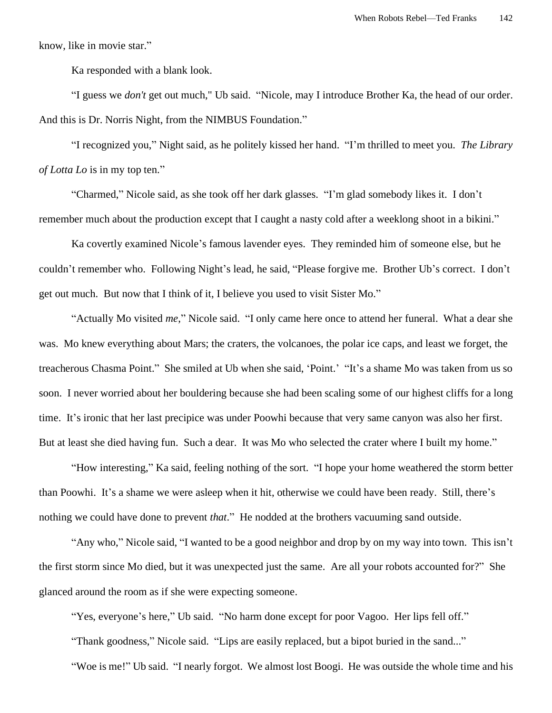know, like in movie star."

Ka responded with a blank look.

"I guess we *don't* get out much," Ub said. "Nicole, may I introduce Brother Ka, the head of our order. And this is Dr. Norris Night, from the NIMBUS Foundation."

"I recognized you," Night said, as he politely kissed her hand. "I'm thrilled to meet you. *The Library of Lotta Lo* is in my top ten."

"Charmed," Nicole said, as she took off her dark glasses. "I'm glad somebody likes it. I don't remember much about the production except that I caught a nasty cold after a weeklong shoot in a bikini."

Ka covertly examined Nicole's famous lavender eyes. They reminded him of someone else, but he couldn't remember who. Following Night's lead, he said, "Please forgive me. Brother Ub's correct. I don't get out much. But now that I think of it, I believe you used to visit Sister Mo."

"Actually Mo visited *me*," Nicole said. "I only came here once to attend her funeral. What a dear she was. Mo knew everything about Mars; the craters, the volcanoes, the polar ice caps, and least we forget, the treacherous Chasma Point." She smiled at Ub when she said, 'Point.' "It's a shame Mo was taken from us so soon. I never worried about her bouldering because she had been scaling some of our highest cliffs for a long time. It's ironic that her last precipice was under Poowhi because that very same canyon was also her first. But at least she died having fun. Such a dear. It was Mo who selected the crater where I built my home."

"How interesting," Ka said, feeling nothing of the sort. "I hope your home weathered the storm better than Poowhi. It's a shame we were asleep when it hit, otherwise we could have been ready. Still, there's nothing we could have done to prevent *that*." He nodded at the brothers vacuuming sand outside.

"Any who," Nicole said, "I wanted to be a good neighbor and drop by on my way into town. This isn't the first storm since Mo died, but it was unexpected just the same. Are all your robots accounted for?" She glanced around the room as if she were expecting someone.

"Yes, everyone's here," Ub said. "No harm done except for poor Vagoo. Her lips fell off."

"Thank goodness," Nicole said. "Lips are easily replaced, but a bipot buried in the sand..."

"Woe is me!" Ub said. "I nearly forgot. We almost lost Boogi. He was outside the whole time and his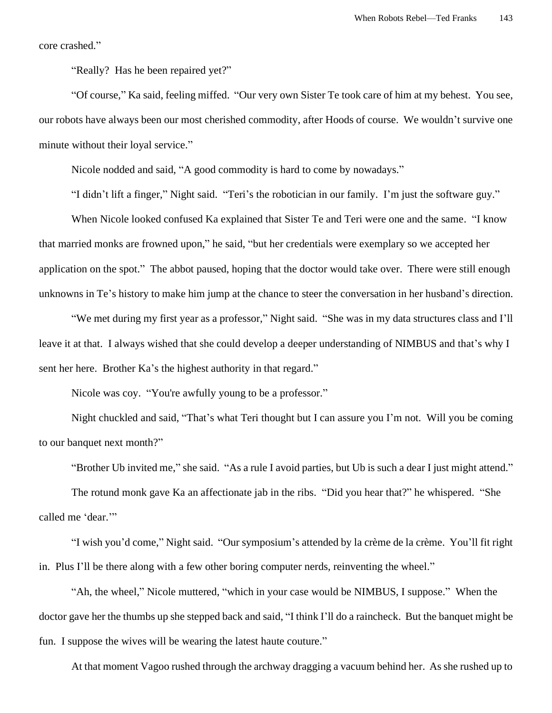core crashed."

"Really? Has he been repaired yet?"

"Of course," Ka said, feeling miffed. "Our very own Sister Te took care of him at my behest. You see, our robots have always been our most cherished commodity, after Hoods of course. We wouldn't survive one minute without their loyal service."

Nicole nodded and said, "A good commodity is hard to come by nowadays."

"I didn't lift a finger," Night said. "Teri's the robotician in our family. I'm just the software guy."

When Nicole looked confused Ka explained that Sister Te and Teri were one and the same. "I know that married monks are frowned upon," he said, "but her credentials were exemplary so we accepted her application on the spot." The abbot paused, hoping that the doctor would take over. There were still enough unknowns in Te's history to make him jump at the chance to steer the conversation in her husband's direction.

"We met during my first year as a professor," Night said. "She was in my data structures class and I'll leave it at that. I always wished that she could develop a deeper understanding of NIMBUS and that's why I sent her here. Brother Ka's the highest authority in that regard."

Nicole was coy. "You're awfully young to be a professor."

Night chuckled and said, "That's what Teri thought but I can assure you I'm not. Will you be coming to our banquet next month?"

"Brother Ub invited me," she said. "As a rule I avoid parties, but Ub is such a dear I just might attend."

The rotund monk gave Ka an affectionate jab in the ribs. "Did you hear that?" he whispered. "She called me 'dear."

"I wish you'd come," Night said. "Our symposium's attended by la crème de la crème. You'll fit right in. Plus I'll be there along with a few other boring computer nerds, reinventing the wheel."

"Ah, the wheel," Nicole muttered, "which in your case would be NIMBUS, I suppose." When the doctor gave her the thumbs up she stepped back and said, "I think I'll do a raincheck. But the banquet might be fun. I suppose the wives will be wearing the latest haute couture."

At that moment Vagoo rushed through the archway dragging a vacuum behind her. As she rushed up to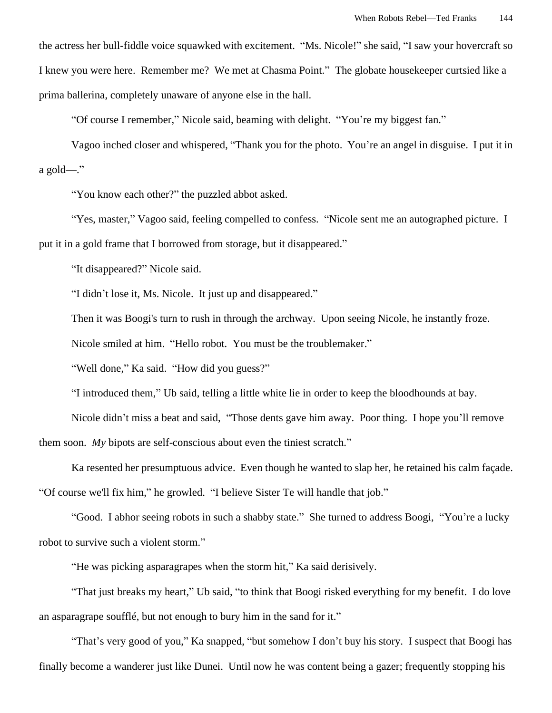the actress her bull-fiddle voice squawked with excitement. "Ms. Nicole!" she said, "I saw your hovercraft so I knew you were here. Remember me? We met at Chasma Point." The globate housekeeper curtsied like a prima ballerina, completely unaware of anyone else in the hall.

"Of course I remember," Nicole said, beaming with delight. "You're my biggest fan."

Vagoo inched closer and whispered, "Thank you for the photo. You're an angel in disguise. I put it in a gold—."

"You know each other?" the puzzled abbot asked.

"Yes, master," Vagoo said, feeling compelled to confess. "Nicole sent me an autographed picture. I put it in a gold frame that I borrowed from storage, but it disappeared."

"It disappeared?" Nicole said.

"I didn't lose it, Ms. Nicole. It just up and disappeared."

Then it was Boogi's turn to rush in through the archway. Upon seeing Nicole, he instantly froze.

Nicole smiled at him. "Hello robot. You must be the troublemaker."

"Well done," Ka said. "How did you guess?"

"I introduced them," Ub said, telling a little white lie in order to keep the bloodhounds at bay.

Nicole didn't miss a beat and said, "Those dents gave him away. Poor thing. I hope you'll remove

them soon. *My* bipots are self-conscious about even the tiniest scratch."

Ka resented her presumptuous advice. Even though he wanted to slap her, he retained his calm façade. "Of course we'll fix him," he growled. "I believe Sister Te will handle that job."

"Good. I abhor seeing robots in such a shabby state." She turned to address Boogi, "You're a lucky robot to survive such a violent storm."

"He was picking asparagrapes when the storm hit," Ka said derisively.

"That just breaks my heart," Ub said, "to think that Boogi risked everything for my benefit. I do love an asparagrape soufflé, but not enough to bury him in the sand for it."

"That's very good of you," Ka snapped, "but somehow I don't buy his story. I suspect that Boogi has finally become a wanderer just like Dunei. Until now he was content being a gazer; frequently stopping his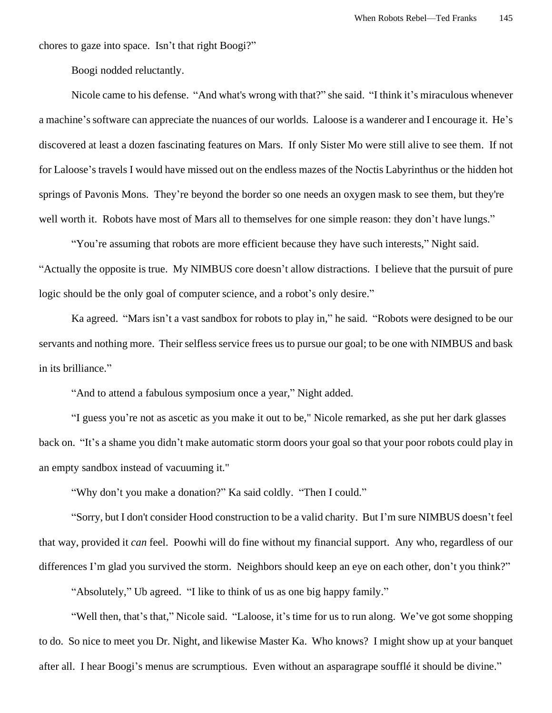chores to gaze into space. Isn't that right Boogi?"

Boogi nodded reluctantly.

Nicole came to his defense. "And what's wrong with that?" she said. "I think it's miraculous whenever a machine's software can appreciate the nuances of our worlds. Laloose is a wanderer and I encourage it. He's discovered at least a dozen fascinating features on Mars. If only Sister Mo were still alive to see them. If not for Laloose's travels I would have missed out on the endless mazes of the Noctis Labyrinthus or the hidden hot springs of Pavonis Mons. They're beyond the border so one needs an oxygen mask to see them, but they're well worth it. Robots have most of Mars all to themselves for one simple reason: they don't have lungs."

"You're assuming that robots are more efficient because they have such interests," Night said. "Actually the opposite is true. My NIMBUS core doesn't allow distractions. I believe that the pursuit of pure logic should be the only goal of computer science, and a robot's only desire."

Ka agreed. "Mars isn't a vast sandbox for robots to play in," he said. "Robots were designed to be our servants and nothing more. Their selfless service frees usto pursue our goal; to be one with NIMBUS and bask in its brilliance."

"And to attend a fabulous symposium once a year," Night added.

"I guess you're not as ascetic as you make it out to be," Nicole remarked, as she put her dark glasses back on. "It's a shame you didn't make automatic storm doors your goal so that your poor robots could play in an empty sandbox instead of vacuuming it."

"Why don't you make a donation?" Ka said coldly. "Then I could."

"Sorry, but I don't consider Hood construction to be a valid charity. But I'm sure NIMBUS doesn't feel that way, provided it *can* feel. Poowhi will do fine without my financial support. Any who, regardless of our differences I'm glad you survived the storm. Neighbors should keep an eye on each other, don't you think?"

"Absolutely," Ub agreed. "I like to think of us as one big happy family."

"Well then, that's that," Nicole said. "Laloose, it's time for us to run along. We've got some shopping to do. So nice to meet you Dr. Night, and likewise Master Ka. Who knows? I might show up at your banquet after all. I hear Boogi's menus are scrumptious. Even without an asparagrape soufflé it should be divine."